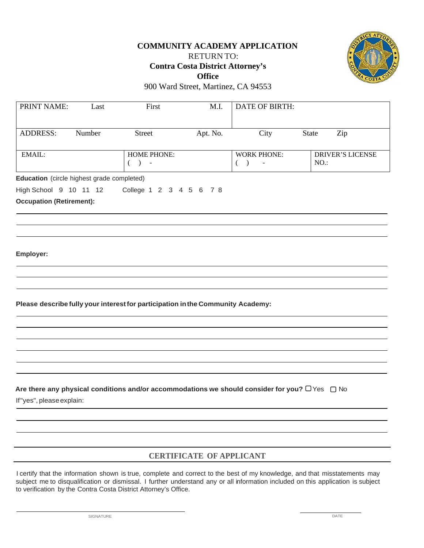## **COMMUNITY ACADEMY APPLICATION**

RETURN TO:

**Contra Costa District Attorney's Office** 



900 Ward Street, Martinez, CA 94553

| PRINT NAME:                                               | Last   | First                                                                                                    | M.I.     | DATE OF BIRTH:                                |                                |
|-----------------------------------------------------------|--------|----------------------------------------------------------------------------------------------------------|----------|-----------------------------------------------|--------------------------------|
| <b>ADDRESS:</b>                                           | Number | <b>Street</b>                                                                                            | Apt. No. | City                                          | Zip<br>State                   |
| EMAIL:                                                    |        | <b>HOME PHONE:</b><br>$($ ) -                                                                            |          | <b>WORK PHONE:</b><br>$($ )<br>$\blacksquare$ | <b>DRIVER'S LICENSE</b><br>NO. |
| Education (circle highest grade completed)                |        |                                                                                                          |          |                                               |                                |
| High School 9 10 11 12<br><b>Occupation (Retirement):</b> |        | College 1 2 3 4 5 6 7 8                                                                                  |          |                                               |                                |
| Employer:                                                 |        |                                                                                                          |          |                                               |                                |
|                                                           |        | Please describe fully your interest for participation in the Community Academy:                          |          |                                               |                                |
|                                                           |        |                                                                                                          |          |                                               |                                |
|                                                           |        | Are there any physical conditions and/or accommodations we should consider for you? $\Box$ Yes $\Box$ No |          |                                               |                                |
| If"yes", please explain:                                  |        |                                                                                                          |          |                                               |                                |
|                                                           |        |                                                                                                          |          |                                               |                                |

I certify that the information shown is true, complete and correct to the best of my knowledge, and that misstatements may subject me to disqualification or dismissal. I further understand any or all information included on this application is subject to verification by the Contra Costa District Attorney's Office.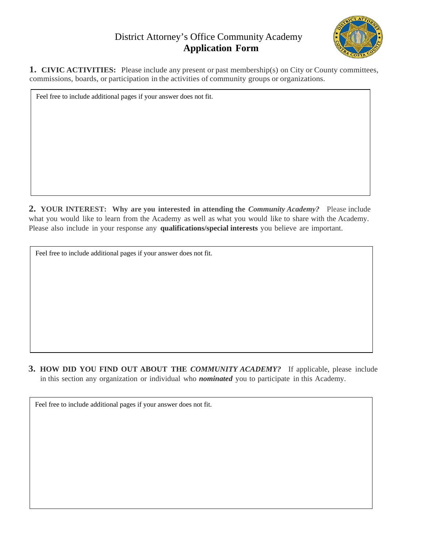## District Attorney's Office Community Academy **Application Form**



**1. CIVIC ACTIVITIES:** Please include any present or past membership(s) on City or County committees, commissions, boards, or participation in the activities of community groups or organizations.

Feel free to include additional pages if your answer does not fit.

**2. YOUR INTEREST:** Why are you interested in attending the *Community Academy?* Please include what you would like to learn from the Academy as well as what you would like to share with the Academy. Please also include in your response any **qualifications/special interests** you believe are important.

Feel free to include additional pages if your answer does not fit.

**3. HOW DID YOU FIND OUT ABOUT THE** *COMMUNITY ACADEMY?* If applicable, please include in this section any organization or individual who *nominated* you to participate in this Academy.

Feel free to include additional pages if your answer does not fit.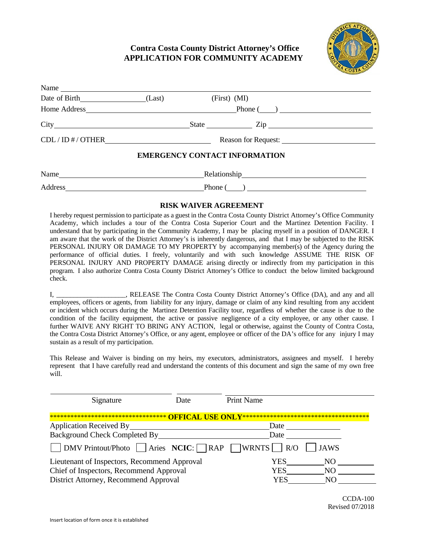### **Contra Costa County District Attorney's Office APPLICATION FOR COMMUNITY ACADEMY**



| $N$ and $\frac{1}{N}$ $\frac{1}{N}$ $\frac{1}{N}$ $\frac{1}{N}$ $\frac{1}{N}$ $\frac{1}{N}$ $\frac{1}{N}$ $\frac{1}{N}$ $\frac{1}{N}$ $\frac{1}{N}$ $\frac{1}{N}$ $\frac{1}{N}$ $\frac{1}{N}$ $\frac{1}{N}$ $\frac{1}{N}$ $\frac{1}{N}$ $\frac{1}{N}$ $\frac{1}{N}$ $\frac{1}{N}$ $\frac{1}{N}$ $\frac{1}{N}$ $\frac$ |  |                                      |  |
|-----------------------------------------------------------------------------------------------------------------------------------------------------------------------------------------------------------------------------------------------------------------------------------------------------------------------|--|--------------------------------------|--|
| Date of Birth (Last)                                                                                                                                                                                                                                                                                                  |  | $(First)$ $(MI)$                     |  |
|                                                                                                                                                                                                                                                                                                                       |  | Home Address Phone (2002)            |  |
|                                                                                                                                                                                                                                                                                                                       |  | State <u>Contains Zip</u> Zip        |  |
| CDL / ID # / OTHER                                                                                                                                                                                                                                                                                                    |  |                                      |  |
|                                                                                                                                                                                                                                                                                                                       |  | <b>EMERGENCY CONTACT INFORMATION</b> |  |
| Name                                                                                                                                                                                                                                                                                                                  |  |                                      |  |
| Address                                                                                                                                                                                                                                                                                                               |  | $\text{Phone}(\_\_\_\_\_\_\_\$       |  |

#### **RISK WAIVER AGREEMENT**

I hereby request permission to participate as a guest in the Contra Costa County District Attorney's Office Community Academy, which includes a tour of the Contra Costa Superior Court and the Martinez Detention Facility. I understand that by participating in the Community Academy, I may be placing myself in a position of DANGER. I am aware that the work of the District Attorney's is inherently dangerous, and that I may be subjected to the RISK PERSONAL INJURY OR DAMAGE TO MY PROPERTY by accompanying member(s) of the Agency during the performance of official duties. I freely, voluntarily and with such knowledge ASSUME THE RISK OF PERSONAL INJURY AND PROPERTY DAMAGE arising directly or indirectly from my participation in this program. I also authorize Contra Costa County District Attorney's Office to conduct the below limited background check.

I, **EXECUTER IN A RELEASE The Contra Costa County District Attorney's Office (DA), and any and all** employees, officers or agents, from liability for any injury, damage or claim of any kind resulting from any accident or incident which occurs during the Martinez Detention Facility tour, regardless of whether the cause is due to the condition of the facility equipment, the active or passive negligence of a city employee, or any other cause. I further WAIVE ANY RIGHT TO BRING ANY ACTION, legal or otherwise, against the County of Contra Costa, the Contra Costa District Attorney's Office, or any agent, employee or officer of the DA's office for any injury I may sustain as a result of my participation.

This Release and Waiver is binding on my heirs, my executors, administrators, assignees and myself. I hereby represent that I have carefully read and understand the contents of this document and sign the same of my own free will.

| Signature                                                                       | Date. | <b>Print Name</b> |  |
|---------------------------------------------------------------------------------|-------|-------------------|--|
|                                                                                 |       |                   |  |
| <b>Application Received By</b>                                                  |       | Date              |  |
| Background Check Completed By                                                   |       | Date              |  |
| $\Box$ DMV Printout/Photo $\Box$ Aries NCIC: $\Box$ RAP $\Box$ WRNTS $\Box$ R/O |       | <b>JAWS</b>       |  |
| Lieutenant of Inspectors, Recommend Approval                                    |       | YES<br>NO         |  |
| Chief of Inspectors, Recommend Approval                                         |       | YES<br>NO.        |  |
| District Attorney, Recommend Approval                                           |       | YES               |  |

CCDA-100 Revised 07/2018

Name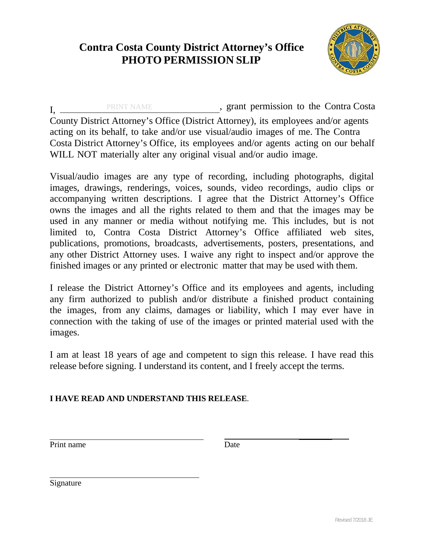# **Contra Costa County District Attorney's Office PHOTO PERMISSION SLIP**



I, PRINT NAME , grant permission to the Contra Costa County District Attorney's Office (District Attorney), its employees and/or agents acting on its behalf, to take and/or use visual/audio images of me. The Contra Costa District Attorney's Office, its employees and/or agents acting on our behalf WILL NOT materially alter any original visual and/or audio image.

Visual/audio images are any type of recording, including photographs, digital images, drawings, renderings, voices, sounds, video recordings, audio clips or accompanying written descriptions. I agree that the District Attorney's Office owns the images and all the rights related to them and that the images may be used in any manner or media without notifying me. This includes, but is not limited to, Contra Costa District Attorney's Office affiliated web sites, publications, promotions, broadcasts, advertisements, posters, presentations, and any other District Attorney uses. I waive any right to inspect and/or approve the finished images or any printed or electronic matter that may be used with them.

I release the District Attorney's Office and its employees and agents, including any firm authorized to publish and/or distribute a finished product containing the images, from any claims, damages or liability, which I may ever have in connection with the taking of use of the images or printed material used with the images.

I am at least 18 years of age and competent to sign this release. I have read this release before signing. I understand its content, and I freely accept the terms.

**I HAVE READ AND UNDERSTAND THIS RELEASE**.

Print name Date

Signature